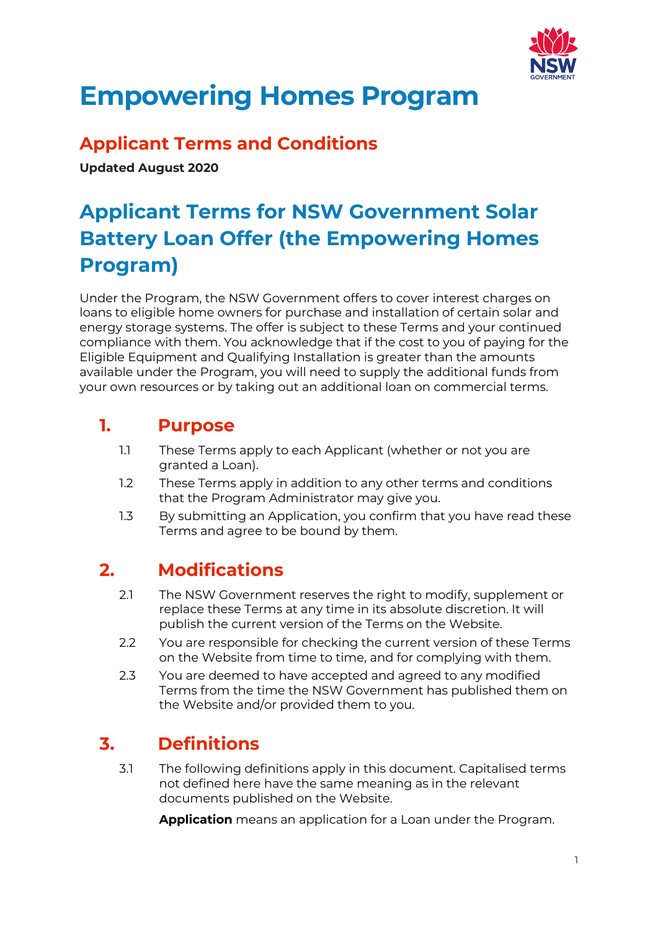

# **Empowering Homes Program**

## **Applicant Terms and Conditions**

**Updated August 2020**

## **Applicant Terms for NSW Government Solar Battery Loan Offer (the Empowering Homes Program)**

Under the Program, the NSW Government offers to cover interest charges on loans to eligible home owners for purchase and installation of certain solar and energy storage systems. The offer is subject to these Terms and your continued compliance with them. You acknowledge that if the cost to you of paying for the Eligible Equipment and Qualifying Installation is greater than the amounts available under the Program, you will need to supply the additional funds from your own resources or by taking out an additional loan on commercial terms.

## **1. Purpose**

- 1.1 These Terms apply to each Applicant (whether or not you are granted a Loan).
- 1.2 These Terms apply in addition to any other terms and conditions that the Program Administrator may give you.
- 1.3 By submitting an Application, you confirm that you have read these Terms and agree to be bound by them.

## **2. Modifications**

- 2.1 The NSW Government reserves the right to modify, supplement or replace these Terms at any time in its absolute discretion. It will publish the current version of the Terms on the Website.
- 2.2 You are responsible for checking the current version of these Terms on the Website from time to time, and for complying with them.
- 2.3 You are deemed to have accepted and agreed to any modified Terms from the time the NSW Government has published them on the Website and/or provided them to you.

## **3. Definitions**

3.1 The following definitions apply in this document. Capitalised terms not defined here have the same meaning as in the relevant documents published on the Website.

**Application** means an application for a Loan under the Program.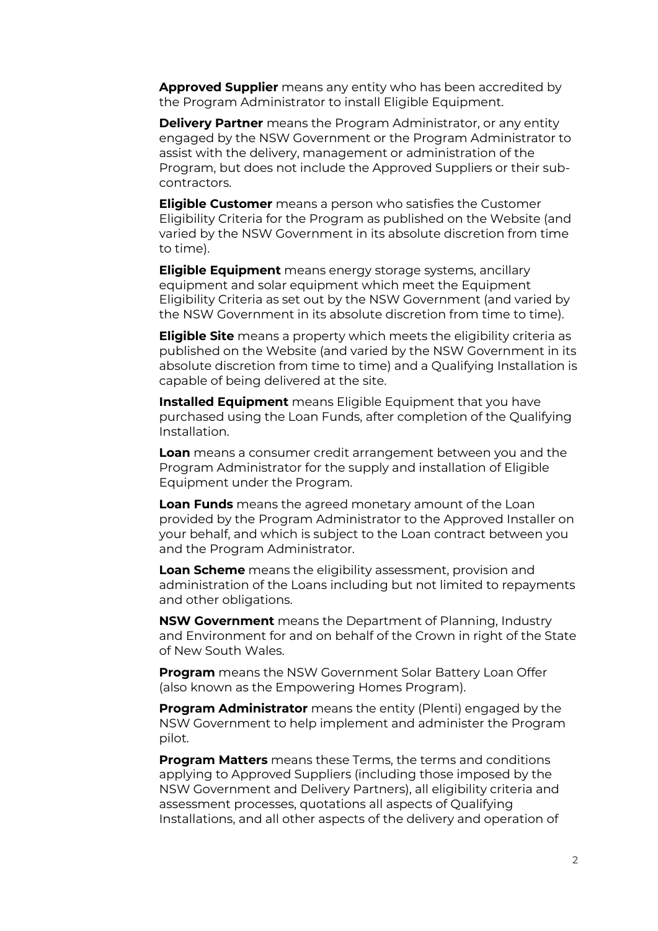**Approved Supplier** means any entity who has been accredited by the Program Administrator to install Eligible Equipment.

**Delivery Partner** means the Program Administrator, or any entity engaged by the NSW Government or the Program Administrator to assist with the delivery, management or administration of the Program, but does not include the Approved Suppliers or their subcontractors.

**Eligible Customer** means a person who satisfies the Customer Eligibility Criteria for the Program as published on the Website (and varied by the NSW Government in its absolute discretion from time to time).

**Eligible Equipment** means energy storage systems, ancillary equipment and solar equipment which meet the Equipment Eligibility Criteria as set out by the NSW Government (and varied by the NSW Government in its absolute discretion from time to time).

**Eligible Site** means a property which meets the eligibility criteria as published on the Website (and varied by the NSW Government in its absolute discretion from time to time) and a Qualifying Installation is capable of being delivered at the site.

**Installed Equipment** means Eligible Equipment that you have purchased using the Loan Funds, after completion of the Qualifying Installation.

**Loan** means a consumer credit arrangement between you and the Program Administrator for the supply and installation of Eligible Equipment under the Program.

**Loan Funds** means the agreed monetary amount of the Loan provided by the Program Administrator to the Approved Installer on your behalf, and which is subject to the Loan contract between you and the Program Administrator.

**Loan Scheme** means the eligibility assessment, provision and administration of the Loans including but not limited to repayments and other obligations.

**NSW Government** means the Department of Planning, Industry and Environment for and on behalf of the Crown in right of the State of New South Wales.

**Program** means the NSW Government Solar Battery Loan Offer (also known as the Empowering Homes Program).

**Program Administrator** means the entity (Plenti) engaged by the NSW Government to help implement and administer the Program pilot.

**Program Matters** means these Terms, the terms and conditions applying to Approved Suppliers (including those imposed by the NSW Government and Delivery Partners), all eligibility criteria and assessment processes, quotations all aspects of Qualifying Installations, and all other aspects of the delivery and operation of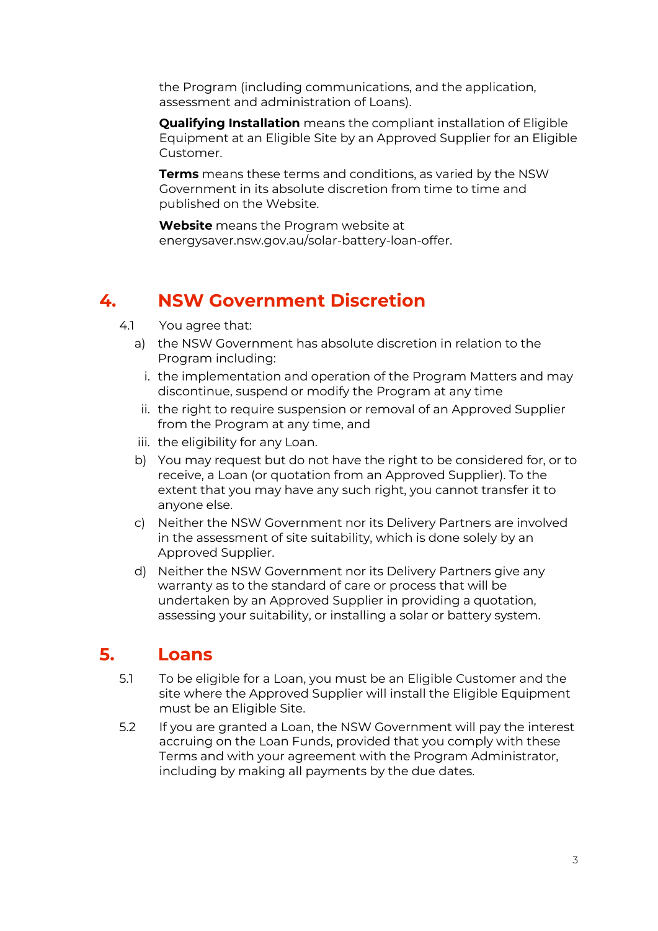the Program (including communications, and the application, assessment and administration of Loans).

**Qualifying Installation** means the compliant installation of Eligible Equipment at an Eligible Site by an Approved Supplier for an Eligible Customer.

**Terms** means these terms and conditions, as varied by the NSW Government in its absolute discretion from time to time and published on the Website.

**Website** means the Program website at energysaver.nsw.gov.au/solar-battery-loan-offer.

#### **4. NSW Government Discretion**

- 4.1 You agree that:
	- a) the NSW Government has absolute discretion in relation to the Program including:
		- i. the implementation and operation of the Program Matters and may discontinue, suspend or modify the Program at any time
		- ii. the right to require suspension or removal of an Approved Supplier from the Program at any time, and
	- iii. the eligibility for any Loan.
	- b) You may request but do not have the right to be considered for, or to receive, a Loan (or quotation from an Approved Supplier). To the extent that you may have any such right, you cannot transfer it to anyone else.
	- c) Neither the NSW Government nor its Delivery Partners are involved in the assessment of site suitability, which is done solely by an Approved Supplier.
	- d) Neither the NSW Government nor its Delivery Partners give any warranty as to the standard of care or process that will be undertaken by an Approved Supplier in providing a quotation, assessing your suitability, or installing a solar or battery system.

#### **5. Loans**

- 5.1 To be eligible for a Loan, you must be an Eligible Customer and the site where the Approved Supplier will install the Eligible Equipment must be an Eligible Site.
- 5.2 If you are granted a Loan, the NSW Government will pay the interest accruing on the Loan Funds, provided that you comply with these Terms and with your agreement with the Program Administrator, including by making all payments by the due dates.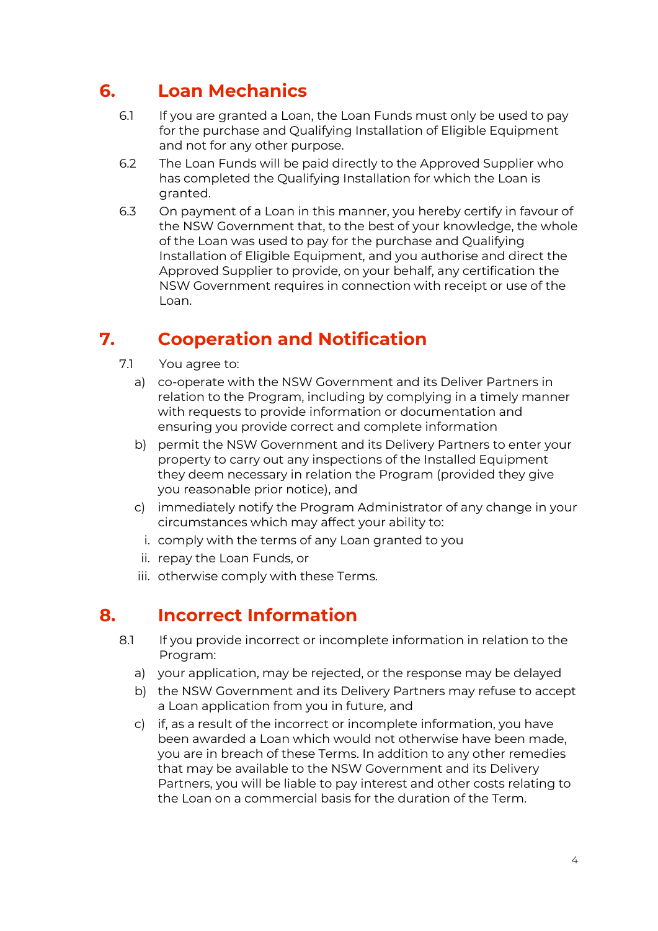## **6. Loan Mechanics**

- 6.1 If you are granted a Loan, the Loan Funds must only be used to pay for the purchase and Qualifying Installation of Eligible Equipment and not for any other purpose.
- 6.2 The Loan Funds will be paid directly to the Approved Supplier who has completed the Qualifying Installation for which the Loan is granted.
- 6.3 On payment of a Loan in this manner, you hereby certify in favour of the NSW Government that, to the best of your knowledge, the whole of the Loan was used to pay for the purchase and Qualifying Installation of Eligible Equipment, and you authorise and direct the Approved Supplier to provide, on your behalf, any certification the NSW Government requires in connection with receipt or use of the Loan.

## **7. Cooperation and Notification**

- 7.1 You agree to:
	- a) co-operate with the NSW Government and its Deliver Partners in relation to the Program, including by complying in a timely manner with requests to provide information or documentation and ensuring you provide correct and complete information
	- b) permit the NSW Government and its Delivery Partners to enter your property to carry out any inspections of the Installed Equipment they deem necessary in relation the Program (provided they give you reasonable prior notice), and
	- c) immediately notify the Program Administrator of any change in your circumstances which may affect your ability to:
		- i. comply with the terms of any Loan granted to you
	- ii. repay the Loan Funds, or
	- iii. otherwise comply with these Terms.

#### **8. Incorrect Information**

- 8.1 If you provide incorrect or incomplete information in relation to the Program:
	- a) your application, may be rejected, or the response may be delayed
	- b) the NSW Government and its Delivery Partners may refuse to accept a Loan application from you in future, and
	- c) if, as a result of the incorrect or incomplete information, you have been awarded a Loan which would not otherwise have been made, you are in breach of these Terms. In addition to any other remedies that may be available to the NSW Government and its Delivery Partners, you will be liable to pay interest and other costs relating to the Loan on a commercial basis for the duration of the Term.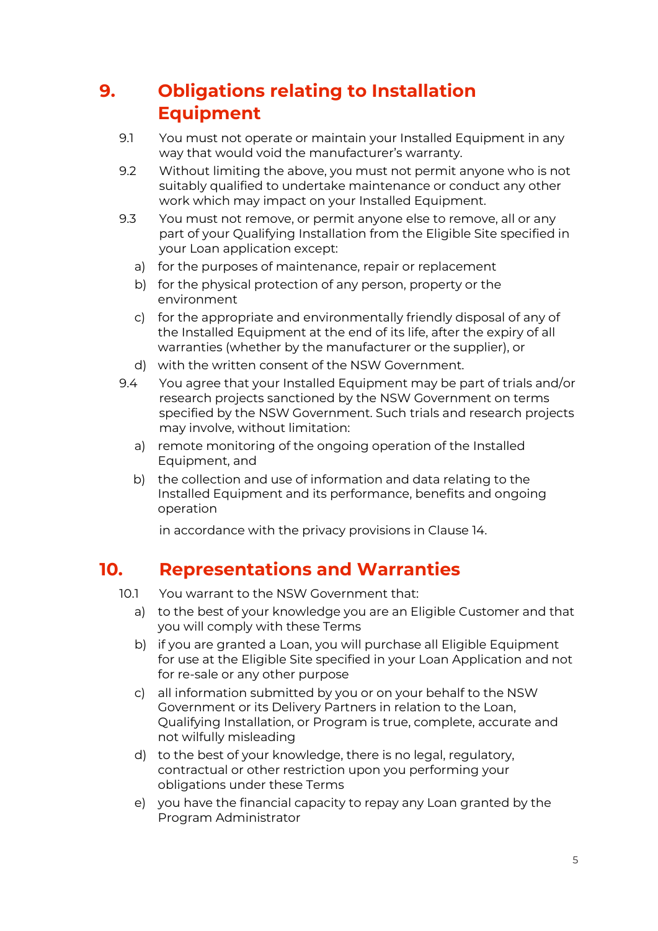## **9. Obligations relating to Installation Equipment**

- 9.1 You must not operate or maintain your Installed Equipment in any way that would void the manufacturer's warranty.
- 9.2 Without limiting the above, you must not permit anyone who is not suitably qualified to undertake maintenance or conduct any other work which may impact on your Installed Equipment.
- 9.3 You must not remove, or permit anyone else to remove, all or any part of your Qualifying Installation from the Eligible Site specified in your Loan application except:
	- a) for the purposes of maintenance, repair or replacement
	- b) for the physical protection of any person, property or the environment
	- c) for the appropriate and environmentally friendly disposal of any of the Installed Equipment at the end of its life, after the expiry of all warranties (whether by the manufacturer or the supplier), or
	- d) with the written consent of the NSW Government.
- 9.4 You agree that your Installed Equipment may be part of trials and/or research projects sanctioned by the NSW Government on terms specified by the NSW Government. Such trials and research projects may involve, without limitation:
	- a) remote monitoring of the ongoing operation of the Installed Equipment, and
	- b) the collection and use of information and data relating to the Installed Equipment and its performance, benefits and ongoing operation

in accordance with the privacy provisions in Clause 14.

#### **10. Representations and Warranties**

- 10.1 You warrant to the NSW Government that:
	- a) to the best of your knowledge you are an Eligible Customer and that you will comply with these Terms
	- b) if you are granted a Loan, you will purchase all Eligible Equipment for use at the Eligible Site specified in your Loan Application and not for re-sale or any other purpose
	- c) all information submitted by you or on your behalf to the NSW Government or its Delivery Partners in relation to the Loan, Qualifying Installation, or Program is true, complete, accurate and not wilfully misleading
	- d) to the best of your knowledge, there is no legal, regulatory, contractual or other restriction upon you performing your obligations under these Terms
	- e) you have the financial capacity to repay any Loan granted by the Program Administrator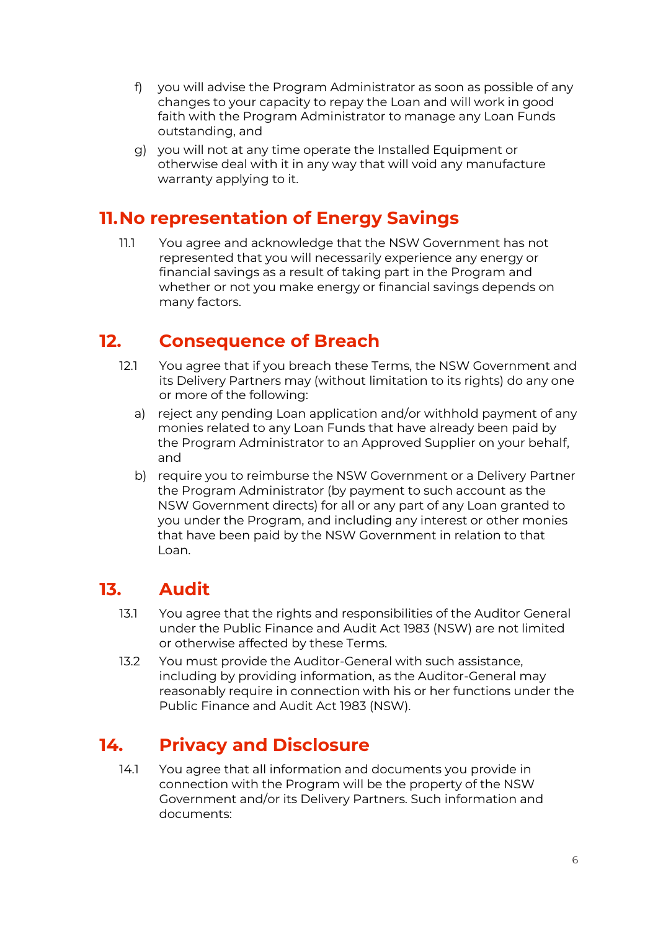- f) you will advise the Program Administrator as soon as possible of any changes to your capacity to repay the Loan and will work in good faith with the Program Administrator to manage any Loan Funds outstanding, and
- g) you will not at any time operate the Installed Equipment or otherwise deal with it in any way that will void any manufacture warranty applying to it.

#### **11.No representation of Energy Savings**

11.1 You agree and acknowledge that the NSW Government has not represented that you will necessarily experience any energy or financial savings as a result of taking part in the Program and whether or not you make energy or financial savings depends on many factors.

## **12. Consequence of Breach**

- 12.1 You agree that if you breach these Terms, the NSW Government and its Delivery Partners may (without limitation to its rights) do any one or more of the following:
	- a) reject any pending Loan application and/or withhold payment of any monies related to any Loan Funds that have already been paid by the Program Administrator to an Approved Supplier on your behalf, and
	- b) require you to reimburse the NSW Government or a Delivery Partner the Program Administrator (by payment to such account as the NSW Government directs) for all or any part of any Loan granted to you under the Program, and including any interest or other monies that have been paid by the NSW Government in relation to that Loan.

## **13. Audit**

- 13.1 You agree that the rights and responsibilities of the Auditor General under the Public Finance and Audit Act 1983 (NSW) are not limited or otherwise affected by these Terms.
- 13.2 You must provide the Auditor-General with such assistance, including by providing information, as the Auditor-General may reasonably require in connection with his or her functions under the Public Finance and Audit Act 1983 (NSW).

## **14. Privacy and Disclosure**

14.1 You agree that all information and documents you provide in connection with the Program will be the property of the NSW Government and/or its Delivery Partners. Such information and documents: